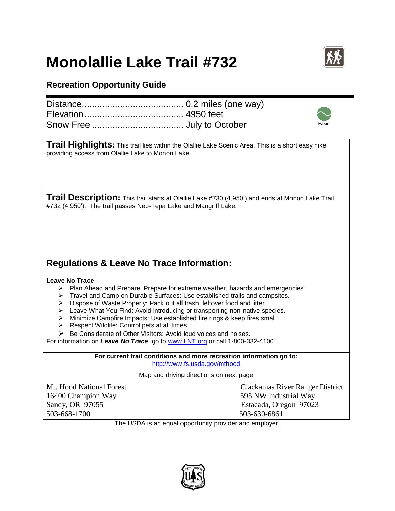## **Monolallie Lake Trail #732**



Easier

## **Recreation Opportunity Guide**

**Trail Highlights:** This trail lies within the Olallie Lake Scenic Area. This is a short easy hike providing access from Olallie Lake to Monon Lake.

**Trail Description:** This trail starts at Olallie Lake #730 (4,950') and ends at Monon Lake Trail #732 (4,950'). The trail passes Nep-Tepa Lake and Mangriff Lake.

## **Regulations & Leave No Trace Information:**

## **Leave No Trace**

- $\triangleright$  Plan Ahead and Prepare: Prepare for extreme weather, hazards and emergencies.
- > Travel and Camp on Durable Surfaces: Use established trails and campsites.
- > Dispose of Waste Properly: Pack out all trash, leftover food and litter.
- $\triangleright$  Leave What You Find: Avoid introducing or transporting non-native species.
- > Minimize Campfire Impacts: Use established fire rings & keep fires small.
- $\triangleright$  Respect Wildlife: Control pets at all times.
- $\triangleright$  Be Considerate of Other Visitors: Avoid loud voices and noises.

For information on *Leave No Trace*, go to [www.LNT.org](http://www.lnt.org/) or call 1-800-332-4100

**For current trail conditions and more recreation information go to:** <http://www.fs.usda.gov/mthood>

Map and driving directions on next page

16400 Champion Way 595 NW Industrial Way Sandy, OR 97055 Estacada, Oregon 97023 503-668-1700 503-630-6861

Mt. Hood National Forest Clackamas River Ranger District

The USDA is an equal opportunity provider and employer.